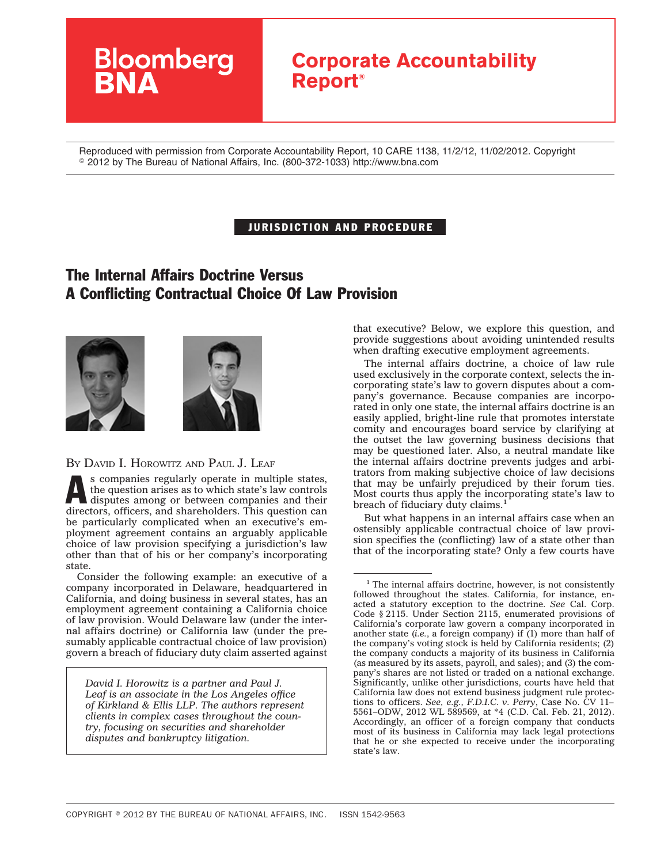## **Corporate Accountability Report®**

Reproduced with permission from Corporate Accountability Report, 10 CARE 1138, 11/2/12, 11/02/2012. Copyright © 2012 by The Bureau of National Affairs, Inc. (800-372-1033) http://www.bna.com

## JURISDICTION AND PROCEDURE

## The Internal Affairs Doctrine Versus A Conflicting Contractual Choice Of Law Provision





BY DAVID I. HOROWITZ AND PAUL J. LEAF

**Bloomberg** 

s companies regularly operate in multiple states, the question arises as to which state's law controls disputes among or between companies and their directors, officers, and shareholders. This question can be particularly complicated when an executive's employment agreement contains an arguably applicable choice of law provision specifying a jurisdiction's law other than that of his or her company's incorporating state.

Consider the following example: an executive of a company incorporated in Delaware, headquartered in California, and doing business in several states, has an employment agreement containing a California choice of law provision. Would Delaware law (under the internal affairs doctrine) or California law (under the presumably applicable contractual choice of law provision) govern a breach of fiduciary duty claim asserted against

*David I. Horowitz is a partner and Paul J. Leaf is an associate in the Los Angeles office of Kirkland & Ellis LLP. The authors represent clients in complex cases throughout the country, focusing on securities and shareholder disputes and bankruptcy litigation.*

that executive? Below, we explore this question, and provide suggestions about avoiding unintended results when drafting executive employment agreements.

The internal affairs doctrine, a choice of law rule used exclusively in the corporate context, selects the incorporating state's law to govern disputes about a company's governance. Because companies are incorporated in only one state, the internal affairs doctrine is an easily applied, bright-line rule that promotes interstate comity and encourages board service by clarifying at the outset the law governing business decisions that may be questioned later. Also, a neutral mandate like the internal affairs doctrine prevents judges and arbitrators from making subjective choice of law decisions that may be unfairly prejudiced by their forum ties. Most courts thus apply the incorporating state's law to breach of fiduciary duty claims.<sup>1</sup>

But what happens in an internal affairs case when an ostensibly applicable contractual choice of law provision specifies the (conflicting) law of a state other than that of the incorporating state? Only a few courts have

 $1$  The internal affairs doctrine, however, is not consistently followed throughout the states. California, for instance, enacted a statutory exception to the doctrine. *See* Cal. Corp. Code § 2115. Under Section 2115, enumerated provisions of California's corporate law govern a company incorporated in another state (*i.e.*, a foreign company) if (1) more than half of the company's voting stock is held by California residents; (2) the company conducts a majority of its business in California (as measured by its assets, payroll, and sales); and (3) the company's shares are not listed or traded on a national exchange. Significantly, unlike other jurisdictions, courts have held that California law does not extend business judgment rule protections to officers. *See, e.g., F.D.I.C. v. Perry*, Case No. CV 11– 5561–ODW, 2012 WL 589569, at \*4 (C.D. Cal. Feb. 21, 2012). Accordingly, an officer of a foreign company that conducts most of its business in California may lack legal protections that he or she expected to receive under the incorporating state's law.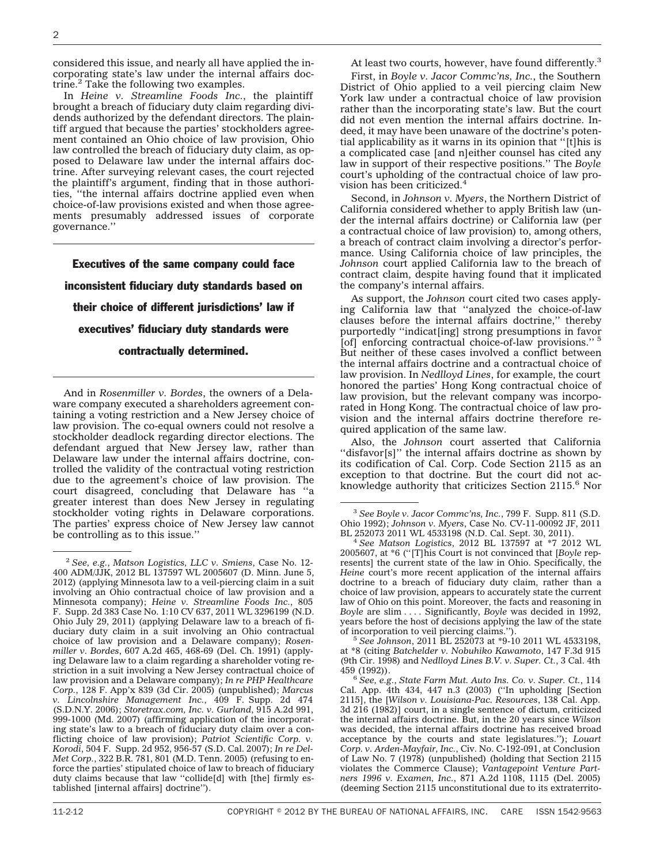considered this issue, and nearly all have applied the incorporating state's law under the internal affairs doctrine. $<sup>2</sup>$  Take the following two examples.</sup>

In *Heine v. Streamline Foods Inc.*, the plaintiff brought a breach of fiduciary duty claim regarding dividends authorized by the defendant directors. The plaintiff argued that because the parties' stockholders agreement contained an Ohio choice of law provision, Ohio law controlled the breach of fiduciary duty claim, as opposed to Delaware law under the internal affairs doctrine. After surveying relevant cases, the court rejected the plaintiff's argument, finding that in those authorities, ''the internal affairs doctrine applied even when choice-of-law provisions existed and when those agreements presumably addressed issues of corporate governance.''

Executives of the same company could face inconsistent fiduciary duty standards based on their choice of different jurisdictions' law if executives' fiduciary duty standards were contractually determined.

And in *Rosenmiller v. Bordes*, the owners of a Delaware company executed a shareholders agreement containing a voting restriction and a New Jersey choice of law provision. The co-equal owners could not resolve a stockholder deadlock regarding director elections. The defendant argued that New Jersey law, rather than Delaware law under the internal affairs doctrine, controlled the validity of the contractual voting restriction due to the agreement's choice of law provision. The court disagreed, concluding that Delaware has ''a greater interest than does New Jersey in regulating stockholder voting rights in Delaware corporations. The parties' express choice of New Jersey law cannot be controlling as to this issue.''

At least two courts, however, have found differently.<sup>3</sup>

First, in *Boyle v. Jacor Commc'ns, Inc.*, the Southern District of Ohio applied to a veil piercing claim New York law under a contractual choice of law provision rather than the incorporating state's law. But the court did not even mention the internal affairs doctrine. Indeed, it may have been unaware of the doctrine's potential applicability as it warns in its opinion that ''[t]his is a complicated case [and n]either counsel has cited any law in support of their respective positions.'' The *Boyle* court's upholding of the contractual choice of law provision has been criticized.4

Second, in *Johnson v. Myers*, the Northern District of California considered whether to apply British law (under the internal affairs doctrine) or California law (per a contractual choice of law provision) to, among others, a breach of contract claim involving a director's performance. Using California choice of law principles, the *Johnson* court applied California law to the breach of contract claim, despite having found that it implicated the company's internal affairs.

As support, the *Johnson* court cited two cases applying California law that ''analyzed the choice-of-law clauses before the internal affairs doctrine,'' thereby purportedly ''indicat[ing] strong presumptions in favor [of] enforcing contractual choice-of-law provisions."<sup>5</sup> But neither of these cases involved a conflict between the internal affairs doctrine and a contractual choice of law provision. In *Nedlloyd Lines*, for example, the court honored the parties' Hong Kong contractual choice of law provision, but the relevant company was incorporated in Hong Kong. The contractual choice of law provision and the internal affairs doctrine therefore required application of the same law.

Also, the *Johnson* court asserted that California ''disfavor[s]'' the internal affairs doctrine as shown by its codification of Cal. Corp. Code Section 2115 as an exception to that doctrine. But the court did not acknowledge authority that criticizes Section 2115.6 Nor

at \*8 (citing *Batchelder v. Nobuhiko Kawamoto*, 147 F.3d 915 (9th Cir. 1998) and *Nedlloyd Lines B.V. v. Super. Ct.*, 3 Cal. 4th

<sup>6</sup> See, e.g., State Farm Mut. Auto Ins. Co. v. Super. Ct., 114 Cal. App. 4th 434, 447 n.3 (2003) (''In upholding [Section 2115], the [*Wilson v. Louisiana-Pac. Resources*, 138 Cal. App. 3d 216 (1982)] court, in a single sentence of dictum, criticized the internal affairs doctrine. But, in the 20 years since *Wilson* was decided, the internal affairs doctrine has received broad acceptance by the courts and state legislatures.''); *Louart Corp. v. Arden-Mayfair, Inc.*, Civ. No. C-192-091, at Conclusion of Law No. 7 (1978) (unpublished) (holding that Section 2115 violates the Commerce Clause); *Vantagepoint Venture Partners 1996 v. Examen, Inc.*, 871 A.2d 1108, 1115 (Del. 2005) (deeming Section 2115 unconstitutional due to its extraterrito-

<sup>2</sup> *See, e.g.*, *Matson Logistics, LLC v. Smiens*, Case No. 12- 400 ADM/JJK, 2012 BL 137597 WL 2005607 (D. Minn. June 5, 2012) (applying Minnesota law to a veil-piercing claim in a suit involving an Ohio contractual choice of law provision and a Minnesota company); *Heine v. Streamline Foods Inc.*, 805 F. Supp. 2d 383 Case No. 1:10 CV 637, 2011 WL 3296199 (N.D. Ohio July 29, 2011) (applying Delaware law to a breach of fiduciary duty claim in a suit involving an Ohio contractual choice of law provision and a Delaware company); *Rosenmiller v. Bordes*, 607 A.2d 465, 468-69 (Del. Ch. 1991) (applying Delaware law to a claim regarding a shareholder voting restriction in a suit involving a New Jersey contractual choice of law provision and a Delaware company); *In re PHP Healthcare Corp.*, 128 F. App'x 839 (3d Cir. 2005) (unpublished); *Marcus v. Lincolnshire Management Inc.*, 409 F. Supp. 2d 474 (S.D.N.Y. 2006); *Storetrax.com, Inc. v. Gurland*, 915 A.2d 991, 999-1000 (Md. 2007) (affirming application of the incorporating state's law to a breach of fiduciary duty claim over a conflicting choice of law provision); *Patriot Scientific Corp. v. Korodi*, 504 F. Supp. 2d 952, 956-57 (S.D. Cal. 2007); *In re Del-Met Corp.*, 322 B.R. 781, 801 (M.D. Tenn. 2005) (refusing to enforce the parties' stipulated choice of law to breach of fiduciary duty claims because that law ''collide[d] with [the] firmly established [internal affairs] doctrine'').

<sup>3</sup> *See Boyle v. Jacor Commc'ns, Inc.*, 799 F. Supp. 811 (S.D. Ohio 1992); *Johnson v. Myers*, Case No. CV-11-00092 JF, 2011

<sup>&</sup>lt;sup>4</sup> See Matson Logistics, 2012 BL 137597 at \*7 2012 WL 2005607, at \*6 (''[T]his Court is not convinced that [*Boyle* represents] the current state of the law in Ohio. Specifically, the *Heine* court's more recent application of the internal affairs doctrine to a breach of fiduciary duty claim, rather than a choice of law provision, appears to accurately state the current law of Ohio on this point. Moreover, the facts and reasoning in *Boyle* are slim . . . . Significantly, *Boyle* was decided in 1992, years before the host of decisions applying the law of the state of incorporation to veil piercing claims.''). <sup>5</sup> *See Johnson*, 2011 BL 252073 at \*9-10 2011 WL 4533198,